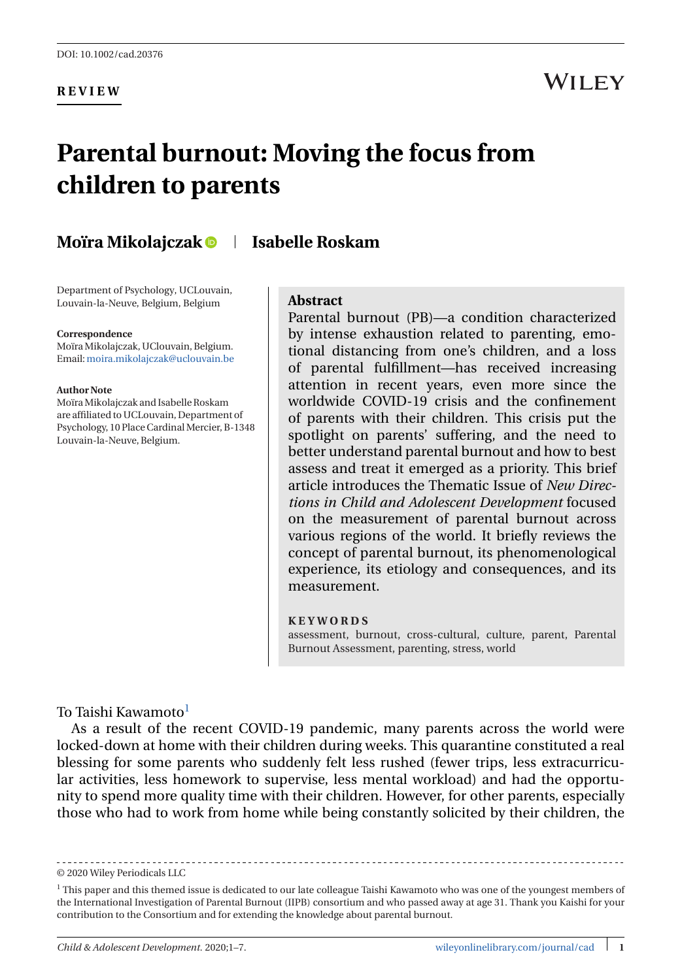**REVIEW**

## **WILEY**

# **Parental burnout: Moving the focus from children to parents**

## **Moïra Mikolajczak Isabelle Roskam**

Department of Psychology, UCLouvain, Louvain-la-Neuve, Belgium, Belgium

#### **Correspondence**

MoïraMikolajczak, UClouvain, Belgium. Email:[moira.mikolajczak@uclouvain.be](mailto:moira.mikolajczak@uclouvain.be)

#### **Author Note**

MoïraMikolajczak and Isabelle Roskam are affiliated to UCLouvain, Department of Psychology, 10 Place Cardinal Mercier, B-1348 Louvain-la-Neuve, Belgium.

#### **Abstract**

Parental burnout (PB)—a condition characterized by intense exhaustion related to parenting, emotional distancing from one's children, and a loss of parental fulfillment—has received increasing attention in recent years, even more since the worldwide COVID-19 crisis and the confinement of parents with their children. This crisis put the spotlight on parents' suffering, and the need to better understand parental burnout and how to best assess and treat it emerged as a priority. This brief article introduces the Thematic Issue of *New Directions in Child and Adolescent Development* focused on the measurement of parental burnout across various regions of the world. It briefly reviews the concept of parental burnout, its phenomenological experience, its etiology and consequences, and its measurement.

#### **KEYWORDS**

assessment, burnout, cross-cultural, culture, parent, Parental Burnout Assessment, parenting, stress, world

#### To Taishi Kawamoto $1$

As a result of the recent COVID-19 pandemic, many parents across the world were locked-down at home with their children during weeks. This quarantine constituted a real blessing for some parents who suddenly felt less rushed (fewer trips, less extracurricular activities, less homework to supervise, less mental workload) and had the opportunity to spend more quality time with their children. However, for other parents, especially those who had to work from home while being constantly solicited by their children, the

© 2020 Wiley Periodicals LLC

<sup>1</sup> This paper and this themed issue is dedicated to our late colleague Taishi Kawamoto who was one of the youngest members of the International Investigation of Parental Burnout (IIPB) consortium and who passed away at age 31. Thank you Kaishi for your contribution to the Consortium and for extending the knowledge about parental burnout.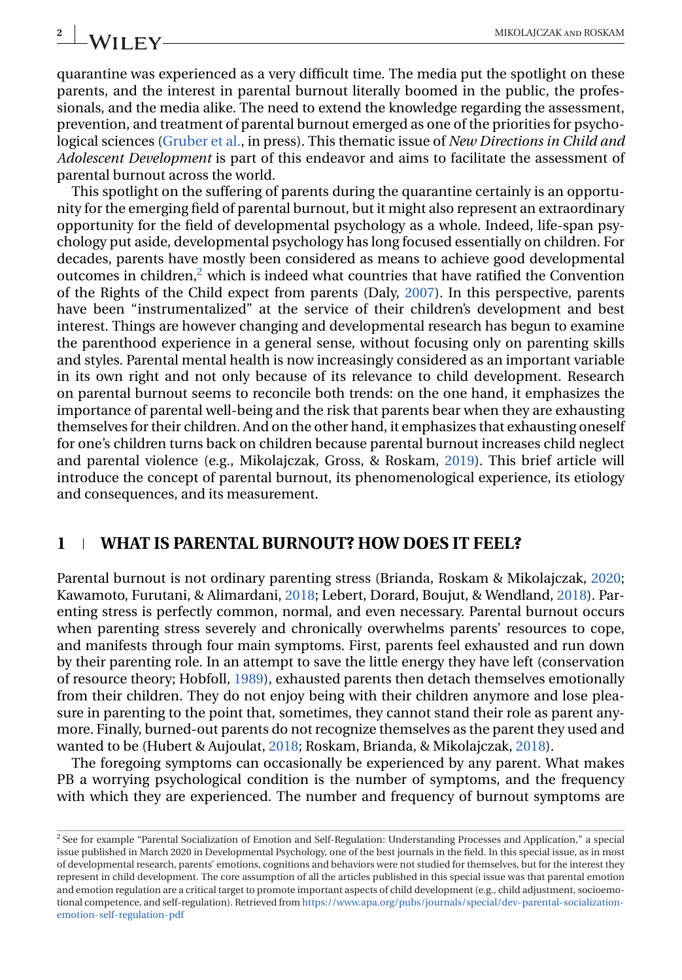quarantine was experienced as a very difficult time. The media put the spotlight on these parents, and the interest in parental burnout literally boomed in the public, the professionals, and the media alike. The need to extend the knowledge regarding the assessment, prevention, and treatment of parental burnout emerged as one of the priorities for psychological sciences [\(Gruber et al.,](#page-5-0) in press). This thematic issue of *New Directions in Child and Adolescent Development* is part of this endeavor and aims to facilitate the assessment of parental burnout across the world.

This spotlight on the suffering of parents during the quarantine certainly is an opportunity for the emerging field of parental burnout, but it might also represent an extraordinary opportunity for the field of developmental psychology as a whole. Indeed, life-span psychology put aside, developmental psychology has long focused essentially on children. For decades, parents have mostly been considered as means to achieve good developmental outcomes in children, $2$  which is indeed what countries that have ratified the Convention of the Rights of the Child expect from parents (Daly, [2007\)](#page-5-0). In this perspective, parents have been "instrumentalized" at the service of their children's development and best interest. Things are however changing and developmental research has begun to examine the parenthood experience in a general sense, without focusing only on parenting skills and styles. Parental mental health is now increasingly considered as an important variable in its own right and not only because of its relevance to child development. Research on parental burnout seems to reconcile both trends: on the one hand, it emphasizes the importance of parental well-being and the risk that parents bear when they are exhausting themselves for their children. And on the other hand, it emphasizes that exhausting oneself for one's children turns back on children because parental burnout increases child neglect and parental violence (e.g., Mikolajczak, Gross, & Roskam, [2019\)](#page-5-0). This brief article will introduce the concept of parental burnout, its phenomenological experience, its etiology and consequences, and its measurement.

## **1 WHAT IS PARENTAL BURNOUT? HOW DOES IT FEEL?**

Parental burnout is not ordinary parenting stress (Brianda, Roskam & Mikolajczak, [2020;](#page-5-0) Kawamoto, Furutani, & Alimardani, [2018;](#page-5-0) Lebert, Dorard, Boujut, & Wendland, [2018\)](#page-5-0). Parenting stress is perfectly common, normal, and even necessary. Parental burnout occurs when parenting stress severely and chronically overwhelms parents' resources to cope, and manifests through four main symptoms. First, parents feel exhausted and run down by their parenting role. In an attempt to save the little energy they have left (conservation of resource theory; Hobfoll, [1989\)](#page-5-0), exhausted parents then detach themselves emotionally from their children. They do not enjoy being with their children anymore and lose pleasure in parenting to the point that, sometimes, they cannot stand their role as parent anymore. Finally, burned-out parents do not recognize themselves as the parent they used and wanted to be (Hubert & Aujoulat, [2018;](#page-5-0) Roskam, Brianda, & Mikolajczak, [2018\)](#page-6-0).

The foregoing symptoms can occasionally be experienced by any parent. What makes PB a worrying psychological condition is the number of symptoms, and the frequency with which they are experienced. The number and frequency of burnout symptoms are

<sup>2</sup> See for example "Parental Socialization of Emotion and Self-Regulation: Understanding Processes and Application," a special issue published in March 2020 in Developmental Psychology, one of the best journals in the field. In this special issue, as in most of developmental research, parents' emotions, cognitions and behaviors were not studied for themselves, but for the interest they represent in child development. The core assumption of all the articles published in this special issue was that parental emotion and emotion regulation are a critical target to promote important aspects of child development (e.g., child adjustment, socioemotional competence, and self-regulation). Retrieved from [https://www.apa.org/pubs/journals/special/dev-parental-socialization](https://www.apa.org/pubs/journals/special/dev-parental-socialization-emotion-self-regulation-pdf)[emotion-self-regulation-pdf](https://www.apa.org/pubs/journals/special/dev-parental-socialization-emotion-self-regulation-pdf)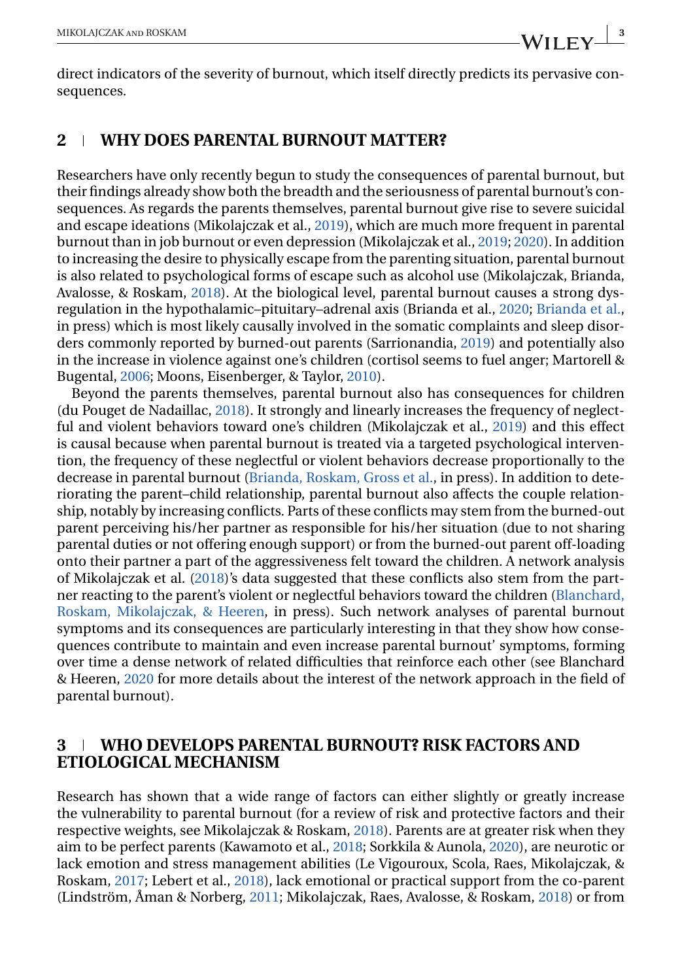direct indicators of the severity of burnout, which itself directly predicts its pervasive consequences.

## **2 WHY DOES PARENTAL BURNOUT MATTER?**

Researchers have only recently begun to study the consequences of parental burnout, but their findings already show both the breadth and the seriousness of parental burnout's consequences. As regards the parents themselves, parental burnout give rise to severe suicidal and escape ideations (Mikolajczak et al., [2019\)](#page-5-0), which are much more frequent in parental burnout than in job burnout or even depression (Mikolajczak et al., [2019;](#page-5-0) [2020\)](#page-5-0). In addition to increasing the desire to physically escape from the parenting situation, parental burnout is also related to psychological forms of escape such as alcohol use (Mikolajczak, Brianda, Avalosse, & Roskam, [2018\)](#page-5-0). At the biological level, parental burnout causes a strong dysregulation in the hypothalamic–pituitary–adrenal axis (Brianda et al., [2020;](#page-5-0) [Brianda et al.,](#page-5-0) in press) which is most likely causally involved in the somatic complaints and sleep disorders commonly reported by burned-out parents (Sarrionandia, [2019\)](#page-6-0) and potentially also in the increase in violence against one's children (cortisol seems to fuel anger; Martorell & Bugental, [2006;](#page-5-0) Moons, Eisenberger, & Taylor, [2010\)](#page-6-0).

Beyond the parents themselves, parental burnout also has consequences for children (du Pouget de Nadaillac, [2018\)](#page-5-0). It strongly and linearly increases the frequency of neglectful and violent behaviors toward one's children (Mikolajczak et al., [2019\)](#page-5-0) and this effect is causal because when parental burnout is treated via a targeted psychological intervention, the frequency of these neglectful or violent behaviors decrease proportionally to the decrease in parental burnout [\(Brianda, Roskam, Gross et al.,](#page-5-0) in press). In addition to deteriorating the parent–child relationship, parental burnout also affects the couple relationship, notably by increasing conflicts. Parts of these conflicts may stem from the burned-out parent perceiving his/her partner as responsible for his/her situation (due to not sharing parental duties or not offering enough support) or from the burned-out parent off-loading onto their partner a part of the aggressiveness felt toward the children. A network analysis of Mikolajczak et al. [\(2018\)](#page-5-0)'s data suggested that these conflicts also stem from the partner reacting to the parent's violent or neglectful behaviors toward the children [\(Blanchard,](#page-5-0) [Roskam, Mikolajczak, & Heeren,](#page-5-0) in press). Such network analyses of parental burnout symptoms and its consequences are particularly interesting in that they show how consequences contribute to maintain and even increase parental burnout' symptoms, forming over time a dense network of related difficulties that reinforce each other (see Blanchard & Heeren, [2020](#page-4-0) for more details about the interest of the network approach in the field of parental burnout).

## **3 WHO DEVELOPS PARENTAL BURNOUT? RISK FACTORS AND ETIOLOGICAL MECHANISM**

Research has shown that a wide range of factors can either slightly or greatly increase the vulnerability to parental burnout (for a review of risk and protective factors and their respective weights, see Mikolajczak & Roskam, [2018\)](#page-6-0). Parents are at greater risk when they aim to be perfect parents (Kawamoto et al., [2018;](#page-5-0) Sorkkila & Aunola, [2020\)](#page-6-0), are neurotic or lack emotion and stress management abilities (Le Vigouroux, Scola, Raes, Mikolajczak, & Roskam, [2017;](#page-5-0) Lebert et al., [2018\)](#page-5-0), lack emotional or practical support from the co-parent (Lindström, Åman & Norberg, [2011;](#page-5-0) Mikolajczak, Raes, Avalosse, & Roskam, [2018\)](#page-6-0) or from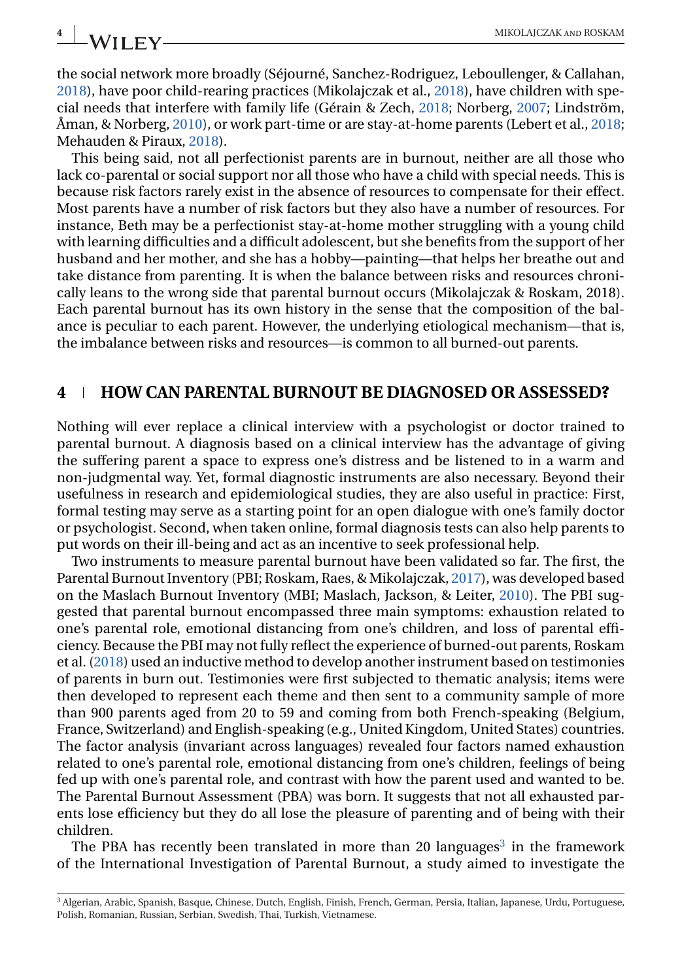## the social network more broadly (Séjourné, Sanchez-Rodriguez, Leboullenger, & Callahan, [2018\)](#page-6-0), have poor child-rearing practices (Mikolajczak et al., [2018\)](#page-6-0), have children with special needs that interfere with family life (Gérain & Zech, [2018;](#page-5-0) Norberg, [2007;](#page-5-0) Lindström, Åman, & Norberg, [2010\)](#page-5-0), or work part-time or are stay-at-home parents (Lebert et al., [2018;](#page-5-0) Mehauden & Piraux, [2018\)](#page-5-0).

This being said, not all perfectionist parents are in burnout, neither are all those who lack co-parental or social support nor all those who have a child with special needs. This is because risk factors rarely exist in the absence of resources to compensate for their effect. Most parents have a number of risk factors but they also have a number of resources. For instance, Beth may be a perfectionist stay-at-home mother struggling with a young child with learning difficulties and a difficult adolescent, but she benefits from the support of her husband and her mother, and she has a hobby—painting—that helps her breathe out and take distance from parenting. It is when the balance between risks and resources chronically leans to the wrong side that parental burnout occurs (Mikolajczak & Roskam, 2018). Each parental burnout has its own history in the sense that the composition of the balance is peculiar to each parent. However, the underlying etiological mechanism—that is, the imbalance between risks and resources—is common to all burned-out parents.

## **4 HOW CAN PARENTAL BURNOUT BE DIAGNOSED OR ASSESSED?**

Nothing will ever replace a clinical interview with a psychologist or doctor trained to parental burnout. A diagnosis based on a clinical interview has the advantage of giving the suffering parent a space to express one's distress and be listened to in a warm and non-judgmental way. Yet, formal diagnostic instruments are also necessary. Beyond their usefulness in research and epidemiological studies, they are also useful in practice: First, formal testing may serve as a starting point for an open dialogue with one's family doctor or psychologist. Second, when taken online, formal diagnosis tests can also help parents to put words on their ill-being and act as an incentive to seek professional help.

Two instruments to measure parental burnout have been validated so far. The first, the Parental Burnout Inventory (PBI; Roskam, Raes, & Mikolajczak, [2017\)](#page-6-0), was developed based on the Maslach Burnout Inventory (MBI; Maslach, Jackson, & Leiter, [2010\)](#page-5-0). The PBI suggested that parental burnout encompassed three main symptoms: exhaustion related to one's parental role, emotional distancing from one's children, and loss of parental efficiency. Because the PBI may not fully reflect the experience of burned-out parents, Roskam et al. [\(2018\)](#page-6-0) used an inductive method to develop another instrument based on testimonies of parents in burn out. Testimonies were first subjected to thematic analysis; items were then developed to represent each theme and then sent to a community sample of more than 900 parents aged from 20 to 59 and coming from both French-speaking (Belgium, France, Switzerland) and English-speaking (e.g., United Kingdom, United States) countries. The factor analysis (invariant across languages) revealed four factors named exhaustion related to one's parental role, emotional distancing from one's children, feelings of being fed up with one's parental role, and contrast with how the parent used and wanted to be. The Parental Burnout Assessment (PBA) was born. It suggests that not all exhausted parents lose efficiency but they do all lose the pleasure of parenting and of being with their children.

The PBA has recently been translated in more than 20 languages<sup>3</sup> in the framework of the International Investigation of Parental Burnout, a study aimed to investigate the

<sup>3</sup> Algerian, Arabic, Spanish, Basque, Chinese, Dutch, English, Finish, French, German, Persia, Italian, Japanese, Urdu, Portuguese, Polish, Romanian, Russian, Serbian, Swedish, Thai, Turkish, Vietnamese.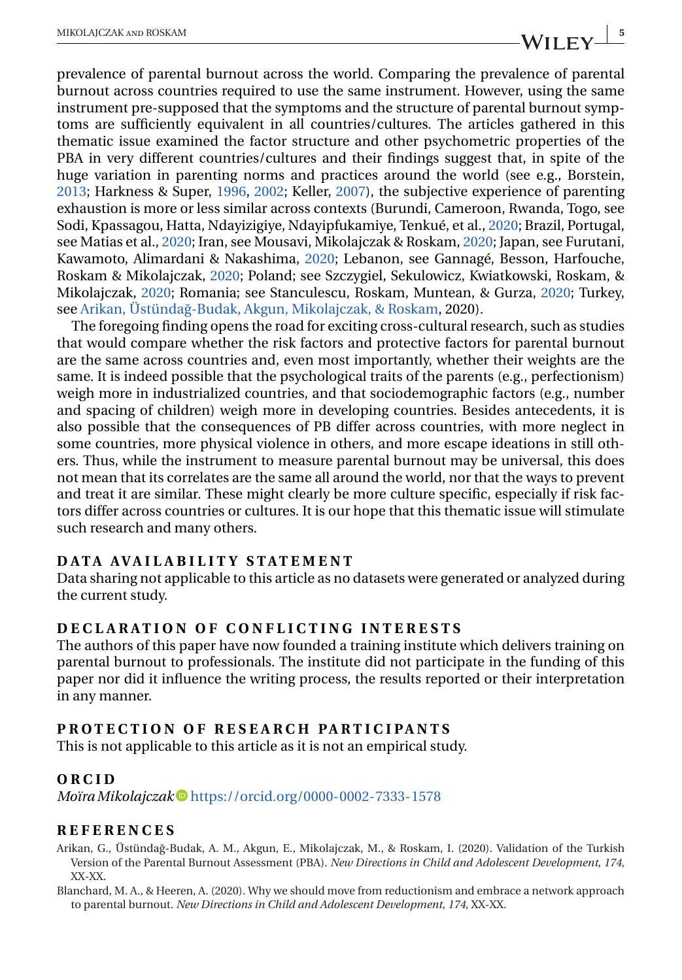<span id="page-4-0"></span>prevalence of parental burnout across the world. Comparing the prevalence of parental burnout across countries required to use the same instrument. However, using the same instrument pre-supposed that the symptoms and the structure of parental burnout symptoms are sufficiently equivalent in all countries/cultures. The articles gathered in this thematic issue examined the factor structure and other psychometric properties of the PBA in very different countries/cultures and their findings suggest that, in spite of the huge variation in parenting norms and practices around the world (see e.g., Borstein, [2013;](#page-5-0) Harkness & Super, [1996,](#page-5-0) [2002;](#page-5-0) Keller, [2007\)](#page-5-0), the subjective experience of parenting exhaustion is more or less similar across contexts (Burundi, Cameroon, Rwanda, Togo, see Sodi, Kpassagou, Hatta, Ndayizigiye, Ndayipfukamiye, Tenkué, et al., [2020;](#page-6-0) Brazil, Portugal, see Matias et al., [2020;](#page-5-0) Iran, see Mousavi, Mikolajczak & Roskam, [2020;](#page-6-0) Japan, see Furutani, Kawamoto, Alimardani & Nakashima, [2020;](#page-5-0) Lebanon, see Gannagé, Besson, Harfouche, Roskam & Mikolajczak, [2020;](#page-5-0) Poland; see Szczygiel, Sekulowicz, Kwiatkowski, Roskam, & Mikolajczak, [2020;](#page-6-0) Romania; see Stanculescu, Roskam, Muntean, & Gurza, [2020;](#page-6-0) Turkey, see Arikan, Üstündağ-Budak, Akgun, Mikolajczak, & Roskam, 2020).

The foregoing finding opens the road for exciting cross-cultural research, such as studies that would compare whether the risk factors and protective factors for parental burnout are the same across countries and, even most importantly, whether their weights are the same. It is indeed possible that the psychological traits of the parents (e.g., perfectionism) weigh more in industrialized countries, and that sociodemographic factors (e.g., number and spacing of children) weigh more in developing countries. Besides antecedents, it is also possible that the consequences of PB differ across countries, with more neglect in some countries, more physical violence in others, and more escape ideations in still others. Thus, while the instrument to measure parental burnout may be universal, this does not mean that its correlates are the same all around the world, nor that the ways to prevent and treat it are similar. These might clearly be more culture specific, especially if risk factors differ across countries or cultures. It is our hope that this thematic issue will stimulate such research and many others.

#### **DATA AVAILABILITY STATEMENT**

Data sharing not applicable to this article as no datasets were generated or analyzed during the current study.

#### **DECLARATION OF CONFLICTING INTERESTS**

The authors of this paper have now founded a training institute which delivers training on parental burnout to professionals. The institute did not participate in the funding of this paper nor did it influence the writing process, the results reported or their interpretation in any manner.

#### **PROTECTION OF RESEARCH PARTICIPANTS**

This is not applicable to this article as it is not an empirical study.

#### **ORCID**

*MoïraMikolajczak* <https://orcid.org/0000-0002-7333-1578>

#### **REFERENCES**

Arikan, G., Üstündag-Budak, A. M., Akgun, E., Mikolajczak, M., & Roskam, I. (2020). Validation of the Turkish ˘ Version of the Parental Burnout Assessment (PBA). *New Directions in Child and Adolescent Development*, *174*, XX-XX.

Blanchard, M. A., & Heeren, A. (2020). Why we should move from reductionism and embrace a network approach to parental burnout. *New Directions in Child and Adolescent Development*, *174*, XX-XX.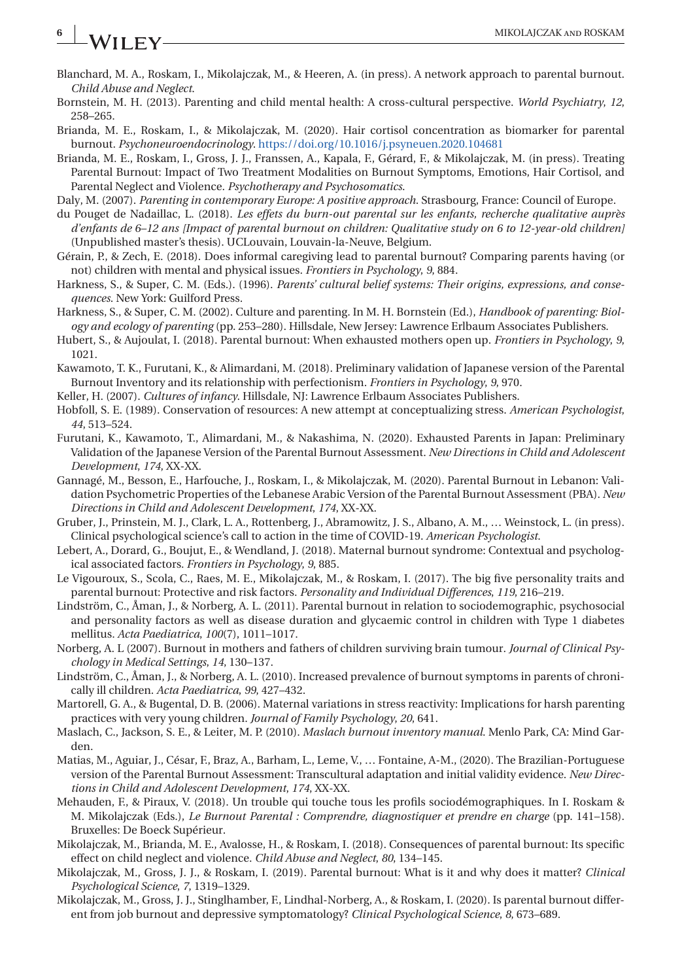# <span id="page-5-0"></span>**6** MIKOLAJCZAK AND ROSKAM

- Blanchard, M. A., Roskam, I., Mikolajczak, M., & Heeren, A. (in press). A network approach to parental burnout. *Child Abuse and Neglect*.
- Bornstein, M. H. (2013). Parenting and child mental health: A cross-cultural perspective. *World Psychiatry*, *12*, 258–265.
- Brianda, M. E., Roskam, I., & Mikolajczak, M. (2020). Hair cortisol concentration as biomarker for parental burnout. *Psychoneuroendocrinology*. <https://doi.org/10.1016/j.psyneuen.2020.104681>
- Brianda, M. E., Roskam, I., Gross, J. J., Franssen, A., Kapala, F., Gérard, F., & Mikolajczak, M. (in press). Treating Parental Burnout: Impact of Two Treatment Modalities on Burnout Symptoms, Emotions, Hair Cortisol, and Parental Neglect and Violence. *Psychotherapy and Psychosomatics*.

Daly, M. (2007). *Parenting in contemporary Europe: A positive approach*. Strasbourg, France: Council of Europe.

- du Pouget de Nadaillac, L. (2018). *Les effets du burn-out parental sur les enfants, recherche qualitative auprès d'enfants de 6–12 ans [Impact of parental burnout on children: Qualitative study on 6 to 12-year-old children]* (Unpublished master's thesis). UCLouvain, Louvain-la-Neuve, Belgium.
- Gérain, P., & Zech, E. (2018). Does informal caregiving lead to parental burnout? Comparing parents having (or not) children with mental and physical issues. *Frontiers in Psychology*, *9*, 884.
- Harkness, S., & Super, C. M. (Eds.). (1996). *Parents' cultural belief systems: Their origins, expressions, and consequences*. New York: Guilford Press.
- Harkness, S., & Super, C. M. (2002). Culture and parenting. In M. H. Bornstein (Ed.), *Handbook of parenting: Biology and ecology of parenting* (pp. 253–280). Hillsdale, New Jersey: Lawrence Erlbaum Associates Publishers.
- Hubert, S., & Aujoulat, I. (2018). Parental burnout: When exhausted mothers open up. *Frontiers in Psychology*, *9*, 1021.
- Kawamoto, T. K., Furutani, K., & Alimardani, M. (2018). Preliminary validation of Japanese version of the Parental Burnout Inventory and its relationship with perfectionism. *Frontiers in Psychology*, *9*, 970.
- Keller, H. (2007). *Cultures of infancy*. Hillsdale, NJ: Lawrence Erlbaum Associates Publishers.
- Hobfoll, S. E. (1989). Conservation of resources: A new attempt at conceptualizing stress. *American Psychologist*, *44*, 513–524.
- Furutani, K., Kawamoto, T., Alimardani, M., & Nakashima, N. (2020). Exhausted Parents in Japan: Preliminary Validation of the Japanese Version of the Parental Burnout Assessment. *New Directions in Child and Adolescent Development*, *174*, XX-XX.
- Gannagé, M., Besson, E., Harfouche, J., Roskam, I., & Mikolajczak, M. (2020). Parental Burnout in Lebanon: Validation Psychometric Properties of the Lebanese Arabic Version of the Parental Burnout Assessment (PBA). *New Directions in Child and Adolescent Development*, *174*, XX-XX.
- Gruber, J., Prinstein, M. J., Clark, L. A., Rottenberg, J., Abramowitz, J. S., Albano, A. M., … Weinstock, L. (in press). Clinical psychological science's call to action in the time of COVID-19. *American Psychologist*.
- Lebert, A., Dorard, G., Boujut, E., & Wendland, J. (2018). Maternal burnout syndrome: Contextual and psychological associated factors. *Frontiers in Psychology*, *9*, 885.
- Le Vigouroux, S., Scola, C., Raes, M. E., Mikolajczak, M., & Roskam, I. (2017). The big five personality traits and parental burnout: Protective and risk factors. *Personality and Individual Differences*, *119*, 216–219.
- Lindström, C., Åman, J., & Norberg, A. L. (2011). Parental burnout in relation to sociodemographic, psychosocial and personality factors as well as disease duration and glycaemic control in children with Type 1 diabetes mellitus. *Acta Paediatrica*, *100*(7), 1011–1017.
- Norberg, A. L (2007). Burnout in mothers and fathers of children surviving brain tumour. *Journal of Clinical Psychology in Medical Settings*, *14*, 130–137.
- Lindström, C., Åman, J., & Norberg, A. L. (2010). Increased prevalence of burnout symptoms in parents of chronically ill children. *Acta Paediatrica*, *99*, 427–432.
- Martorell, G. A., & Bugental, D. B. (2006). Maternal variations in stress reactivity: Implications for harsh parenting practices with very young children. *Journal of Family Psychology*, *20*, 641.
- Maslach, C., Jackson, S. E., & Leiter, M. P. (2010). *Maslach burnout inventory manual*. Menlo Park, CA: Mind Garden.
- Matias, M., Aguiar, J., César, F., Braz, A., Barham, L., Leme, V., … Fontaine, A-M., (2020). The Brazilian-Portuguese version of the Parental Burnout Assessment: Transcultural adaptation and initial validity evidence. *New Directions in Child and Adolescent Development*, *174*, XX-XX.
- Mehauden, F., & Piraux, V. (2018). Un trouble qui touche tous les profils sociodémographiques. In I. Roskam & M. Mikolajczak (Eds.), *Le Burnout Parental : Comprendre, diagnostiquer et prendre en charge* (pp. 141–158). Bruxelles: De Boeck Supérieur.
- Mikolajczak, M., Brianda, M. E., Avalosse, H., & Roskam, I. (2018). Consequences of parental burnout: Its specific effect on child neglect and violence. *Child Abuse and Neglect*, *80*, 134–145.
- Mikolajczak, M., Gross, J. J., & Roskam, I. (2019). Parental burnout: What is it and why does it matter? *Clinical Psychological Science*, *7*, 1319–1329.
- Mikolajczak, M., Gross, J. J., Stinglhamber, F., Lindhal-Norberg, A., & Roskam, I. (2020). Is parental burnout different from job burnout and depressive symptomatology? *Clinical Psychological Science*, *8*, 673–689.